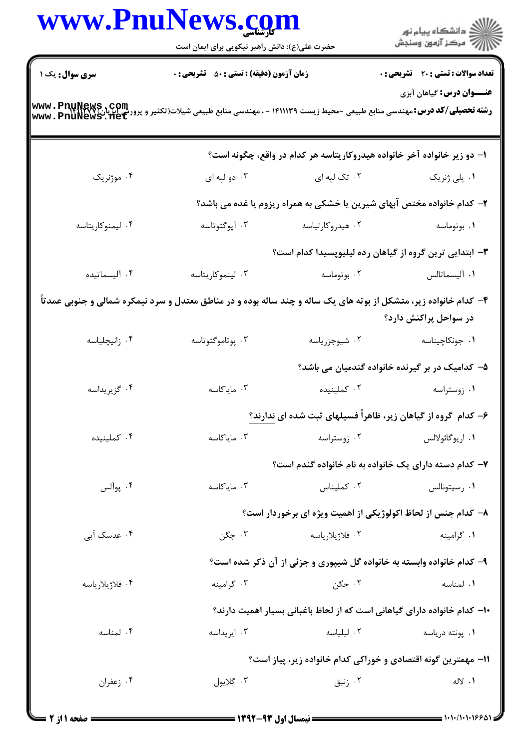|                        | www.PnuNews.com<br>حضرت علی(ع): دانش راهبر نیکویی برای ایمان است                                                                                 |                  | ر دانشگاه پيام نور<br>ا∛هرکز آزمون وسنجش                                 |  |
|------------------------|--------------------------------------------------------------------------------------------------------------------------------------------------|------------------|--------------------------------------------------------------------------|--|
| <b>سری سوال :</b> یک ۱ | <b>زمان آزمون (دقیقه) : تستی : 50 ٪ تشریحی : 0</b>                                                                                               |                  | <b>تعداد سوالات : تستی : 20 - تشریحی : 0</b>                             |  |
|                        | رشته تحصیلی/کد درس: مهندسی منابع طبیعی -محیط زیست ۱۴۱۱۱۳۹ - ، مهندسی منابع طبیعی شیلات(تکثیر و پرورش ابزیل: www . PnuNews<br>www . PnuNews . net |                  | <b>عنـــوان درس:</b> گیاهان آبزی                                         |  |
|                        |                                                                                                                                                  |                  | ۱– دو زیر خانواده آخر خانواده هیدروکاریتاسه هر کدام در واقع، چگونه است؟  |  |
| ۰۴ موژنریک             | ۰۳ دو لپه ای                                                                                                                                     | ۰۲ تک لپه ای     | ۰۱ پلی ژنریک                                                             |  |
|                        |                                                                                                                                                  |                  | ۲- کدام خانواده مختص آبهای شیرین یا خشکی به همراه ریزوم یا غده می باشد؟  |  |
| ۰۴ لیمنوکاریتاسه       | ۰۳ آپوگتوتاسه                                                                                                                                    | ۰۲ هیدروکارتیاسه | ۰۱ بوتوماسه                                                              |  |
|                        | ۳- ابتدایی ترین گروه از گیاهان رده لیلیوپسیدا کدام است؟                                                                                          |                  |                                                                          |  |
| ۰۴ آلیسماتیده          | ۰۳ لینموکاریتاسه                                                                                                                                 | ۰۲ بوتوماسه      | ٠١ آليسماتالس                                                            |  |
|                        | ۴- کدام خانواده زیر، متشکل از بوته های یک ساله و چند ساله بوده و در مناطق معتدل و سرد نیمکره شمالی و جنوبی عمدتاً                                |                  | در سواحل پراکنش دارد؟                                                    |  |
| ۰۴ زانیچلیاسه          | ۰۳ پوتاموگتوتاسه                                                                                                                                 | ۰۲ شیوجزریاسه    | ۰۱ جونکاچیناسه                                                           |  |
|                        |                                                                                                                                                  |                  | ۵– کدامیک در بر گیرنده خانواده گندمیان می باشد؟                          |  |
| ۰۴ گزيريداسه           | ۰۳ ماياكاسه                                                                                                                                      | ۰۲ کملینیده      | ۰۱ زوستراسه                                                              |  |
|                        |                                                                                                                                                  |                  | ۶- کدام گروه از گیاهان زیر، ظاهراً فسیلهای ثبت شده ای ندارند؟            |  |
| ۰۴ کملینیده            | ۰۳ مایاکاسه                                                                                                                                      | ۰۲ زوستراسه      | ۰۱ اريوگائولالس                                                          |  |
|                        | ۷- کدام دسته دارای یک خانواده به نام خانواده گندم است؟                                                                                           |                  |                                                                          |  |
| ۰۴ يوآلس               | ۰۳ مایاکاسه                                                                                                                                      | ٠٢ كمليناس       | ٠١ رسيتونالس                                                             |  |
|                        |                                                                                                                                                  |                  | ۸– کدام جنس از لحاظ اکولوژیکی از اهمیت ویژه ای برخوردار است؟             |  |
| ۰۴ عدسک آب <i>ی</i>    | ۰۳ جگن                                                                                                                                           | ۰۲ فلاژیلاریاسه  | ٠١ گرامينه                                                               |  |
|                        |                                                                                                                                                  |                  | ۹- کدام خانواده وابسته به خانواده گل شیپوری و جزئی از آن ذکر شده است؟    |  |
| ۰۴ فلاژیلاریاسه        | ۰۳ گرامینه                                                                                                                                       | ۰۲ جگن           | ۰۱ لمناسه                                                                |  |
|                        |                                                                                                                                                  |                  | ۱۰– کدام خانواده دارای گیاهانی است که از لحاظ باغبانی بسیار اهمیت دارند؟ |  |
| ۰۴ لمناسه              | ۰۳ ایریداسه                                                                                                                                      | ۰۲ لیلیاسه       | ۰۱ پونته درياسه                                                          |  |
|                        |                                                                                                                                                  |                  | 1۱– مهمترین گونه اقتصادی و خوراکی کدام خانواده زیر، پیاز است؟            |  |
| ۰۴ زعفران              | ۰۳ گلايول                                                                                                                                        | ا زنبق $\cdot$ ۲ | ۰۱ لاله                                                                  |  |
|                        |                                                                                                                                                  |                  |                                                                          |  |